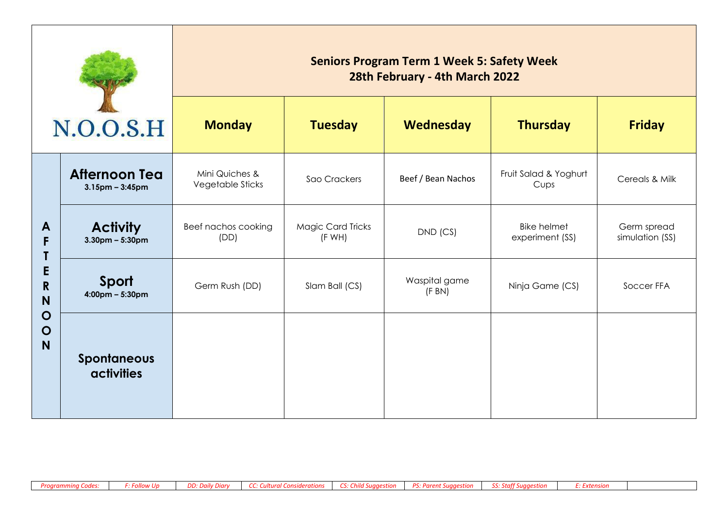| N.O.O.S.H                                                          |                                               | <b>Seniors Program Term 1 Week 5: Safety Week</b><br>28th February - 4th March 2022 |                                   |                        |                                       |                                |  |  |
|--------------------------------------------------------------------|-----------------------------------------------|-------------------------------------------------------------------------------------|-----------------------------------|------------------------|---------------------------------------|--------------------------------|--|--|
|                                                                    |                                               | <b>Monday</b>                                                                       | <b>Tuesday</b>                    | <b>Wednesday</b>       | <b>Thursday</b>                       | <b>Friday</b>                  |  |  |
| A<br>F<br>E<br>$\mathbf R$<br>N<br>$\mathbf O$<br>$\mathbf O$<br>N | <b>Afternoon Tea</b><br>$3.15$ pm – $3:45$ pm | Mini Quiches &<br>Vegetable Sticks                                                  | Sao Crackers                      | Beef / Bean Nachos     | Fruit Salad & Yoghurt<br>Cups         | Cereals & Milk                 |  |  |
|                                                                    | <b>Activity</b><br>$3.30$ pm – 5:30pm         | Beef nachos cooking<br>(DD)                                                         | <b>Magic Card Tricks</b><br>(FWH) | $DND$ (CS)             | <b>Bike helmet</b><br>experiment (SS) | Germ spread<br>simulation (SS) |  |  |
|                                                                    | Sport<br>$4:00 \text{pm} - 5:30 \text{pm}$    | Germ Rush (DD)                                                                      | Slam Ball (CS)                    | Waspital game<br>(FBN) | Ninja Game (CS)                       | Soccer FFA                     |  |  |
|                                                                    | <b>Spontaneous</b><br><b>activities</b>       |                                                                                     |                                   |                        |                                       |                                |  |  |

÷,

T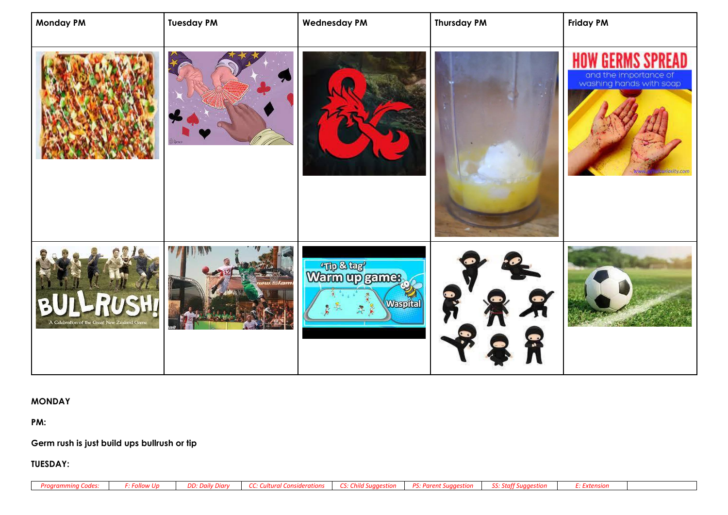| <b>Monday PM</b>                                       | <b>Tuesday PM</b> | <b>Wednesday PM</b>               | <b>Thursday PM</b> | <b>Friday PM</b>                                                                               |
|--------------------------------------------------------|-------------------|-----------------------------------|--------------------|------------------------------------------------------------------------------------------------|
|                                                        | Spring            |                                   |                    | READ<br>and the importance of<br>washing hands with soap<br><b>usunosity.com</b><br><b>WWW</b> |
| P.<br>B<br>A Celebration of the Great New Zealand Game |                   | Warm up games.<br><b>Waspital</b> | ●                  |                                                                                                |

## **MONDAY**

**PM:** 

## **Germ rush is just build ups bullrush or tip**

**TUESDAY:**